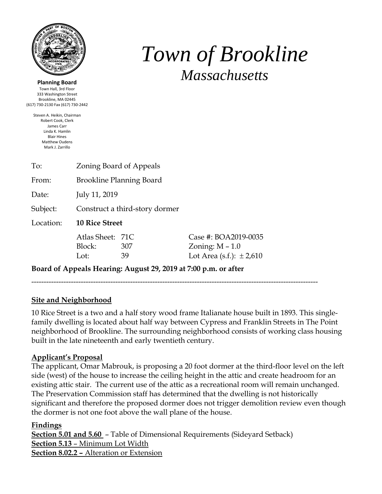

**Planning Board** Town Hall, 3rd Floor 333 Washington Street Brookline, MA 02445 (617) 730-2130 Fax (617) 730-2442

> Steven A. Heikin, Chairman Robert Cook, Clerk James Carr Linda K. Hamlin Blair Hines Matthew Oudens Mark J. Zarrillo

# *Town of Brookline Massachusetts*

| Zoning Board of Appeals<br><b>Brookline Planning Board</b><br>July 11, 2019<br>Construct a third-story dormer<br><b>10 Rice Street</b><br>Case #: BOA2019-0035<br>Atlas Sheet: 71C<br>Block:<br>Zoning: $M - 1.0$<br>307<br>Lot Area (s.f.): $\pm 2,610$<br>Lot:<br>39 |           |  |  |  |  |  |
|------------------------------------------------------------------------------------------------------------------------------------------------------------------------------------------------------------------------------------------------------------------------|-----------|--|--|--|--|--|
|                                                                                                                                                                                                                                                                        | To:       |  |  |  |  |  |
|                                                                                                                                                                                                                                                                        | From:     |  |  |  |  |  |
|                                                                                                                                                                                                                                                                        | Date:     |  |  |  |  |  |
|                                                                                                                                                                                                                                                                        | Subject:  |  |  |  |  |  |
|                                                                                                                                                                                                                                                                        | Location: |  |  |  |  |  |
|                                                                                                                                                                                                                                                                        |           |  |  |  |  |  |

**Board of Appeals Hearing: August 29, 2019 at 7:00 p.m. or after**

--------------------------------------------------------------------------------------------------------------------

#### **Site and Neighborhood**

10 Rice Street is a two and a half story wood frame Italianate house built in 1893. This singlefamily dwelling is located about half way between Cypress and Franklin Streets in The Point neighborhood of Brookline. The surrounding neighborhood consists of working class housing built in the late nineteenth and early twentieth century.

#### **Applicant's Proposal**

The applicant, Omar Mabrouk, is proposing a 20 foot dormer at the third-floor level on the left side (west) of the house to increase the ceiling height in the attic and create headroom for an existing attic stair. The current use of the attic as a recreational room will remain unchanged. The Preservation Commission staff has determined that the dwelling is not historically significant and therefore the proposed dormer does not trigger demolition review even though the dormer is not one foot above the wall plane of the house.

#### **Findings**

**Section 5.01 and 5.60** – Table of Dimensional Requirements (Sideyard Setback) **Section 5.13** – Minimum Lot Width **Section 8.02.2 –** Alteration or Extension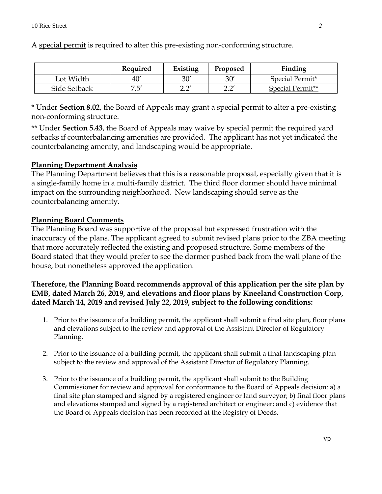|              | Required   | Existing    | Proposed           | <b>Finding</b>   |
|--------------|------------|-------------|--------------------|------------------|
| Lot Width    | 40'        | 30'         | 30′                | Special Permit*  |
| Side Setback | ヮ ニ'<br>ت. | יה ה<br>∠.∠ | יה ה<br><u>_._</u> | Special Permit** |

A special permit is required to alter this pre-existing non-conforming structure.

\* Under **Section 8.02**, the Board of Appeals may grant a special permit to alter a pre-existing non-conforming structure.

\*\* Under **Section 5.43**, the Board of Appeals may waive by special permit the required yard setbacks if counterbalancing amenities are provided. The applicant has not yet indicated the counterbalancing amenity, and landscaping would be appropriate.

## **Planning Department Analysis**

The Planning Department believes that this is a reasonable proposal, especially given that it is a single-family home in a multi-family district. The third floor dormer should have minimal impact on the surrounding neighborhood. New landscaping should serve as the counterbalancing amenity.

## **Planning Board Comments**

The Planning Board was supportive of the proposal but expressed frustration with the inaccuracy of the plans. The applicant agreed to submit revised plans prior to the ZBA meeting that more accurately reflected the existing and proposed structure. Some members of the Board stated that they would prefer to see the dormer pushed back from the wall plane of the house, but nonetheless approved the application.

## **Therefore, the Planning Board recommends approval of this application per the site plan by EMB, dated March 26, 2019, and elevations and floor plans by Kneeland Construction Corp, dated March 14, 2019 and revised July 22, 2019, subject to the following conditions:**

- 1. Prior to the issuance of a building permit, the applicant shall submit a final site plan, floor plans and elevations subject to the review and approval of the Assistant Director of Regulatory Planning.
- 2. Prior to the issuance of a building permit, the applicant shall submit a final landscaping plan subject to the review and approval of the Assistant Director of Regulatory Planning.
- 3. Prior to the issuance of a building permit, the applicant shall submit to the Building Commissioner for review and approval for conformance to the Board of Appeals decision: a) a final site plan stamped and signed by a registered engineer or land surveyor; b) final floor plans and elevations stamped and signed by a registered architect or engineer; and c) evidence that the Board of Appeals decision has been recorded at the Registry of Deeds.